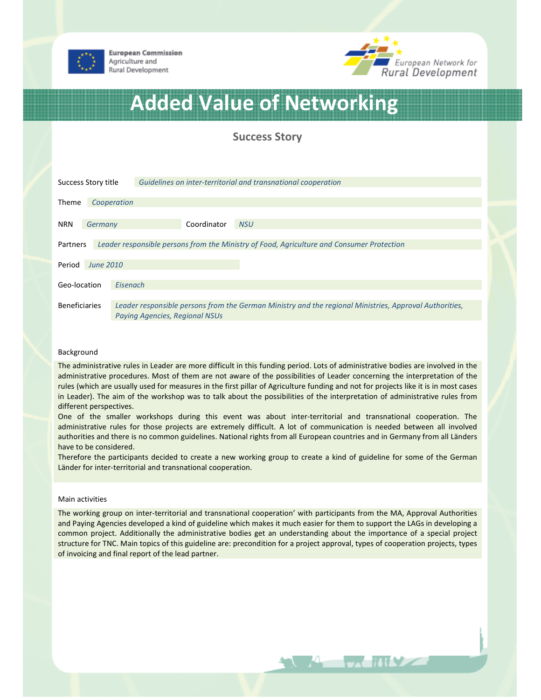

**European Commission** Agriculture and Rural Development



# Added Value of Networking

## Success Story

| Success Story title                                                                                   |                          | Guidelines on inter-territorial and transnational cooperation                                                                                   |  |  |
|-------------------------------------------------------------------------------------------------------|--------------------------|-------------------------------------------------------------------------------------------------------------------------------------------------|--|--|
| <b>Theme</b>                                                                                          |                          | Cooperation                                                                                                                                     |  |  |
| <b>NRN</b>                                                                                            | Germany                  | Coordinator<br><b>NSU</b>                                                                                                                       |  |  |
| Leader responsible persons from the Ministry of Food, Agriculture and Consumer Protection<br>Partners |                          |                                                                                                                                                 |  |  |
| <b>June 2010</b><br>Period                                                                            |                          |                                                                                                                                                 |  |  |
|                                                                                                       | Geo-location<br>Eisenach |                                                                                                                                                 |  |  |
| <b>Beneficiaries</b>                                                                                  |                          | Leader responsible persons from the German Ministry and the regional Ministries, Approval Authorities,<br><b>Paying Agencies, Regional NSUs</b> |  |  |

#### Background

The administrative rules in Leader are more difficult in this funding period. Lots of administrative bodies are involved in the administrative procedures. Most of them are not aware of the possibilities of Leader concerning the interpretation of the rules (which are usually used for measures in the first pillar of Agriculture funding and not for projects like it is in most cases in Leader). The aim of the workshop was to talk about the possibilities of the interpretation of administrative rules from different perspectives.

One of the smaller workshops during this event was about inter-territorial and transnational cooperation. The administrative rules for those projects are extremely difficult. A lot of communication is needed between all involved authorities and there is no common guidelines. National rights from all European countries and in Germany from all Länders have to be considered.

Therefore the participants decided to create a new working group to create a kind of guideline for some of the German Länder for inter-territorial and transnational cooperation.

#### Main activities

The working group on inter-territorial and transnational cooperation' with participants from the MA, Approval Authorities and Paying Agencies developed a kind of guideline which makes it much easier for them to support the LAGs in developing a common project. Additionally the administrative bodies get an understanding about the importance of a special project structure for TNC. Main topics of this guideline are: precondition for a project approval, types of cooperation projects, types of invoicing and final report of the lead partner.

**The Matter**